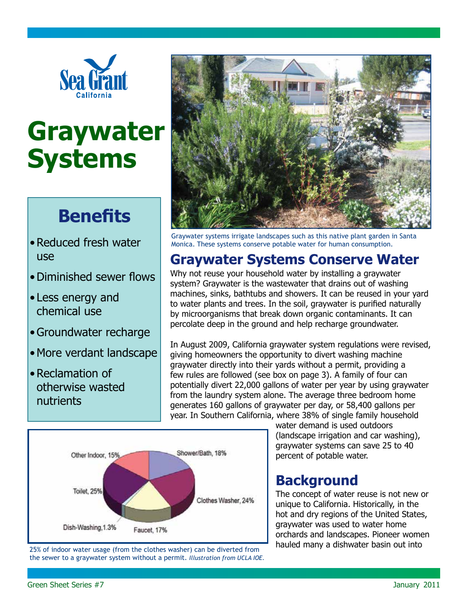

# **Graywater Systems**

# **Benefits**

- Reduced fresh water use
- • Diminished sewer flows
- Less energy and chemical use
- Groundwater recharge
- More verdant landscape
- Reclamation of otherwise wasted nutrients



Graywater systems irrigate landscapes such as this native plant garden in Santa Monica. These systems conserve potable water for human consumption.

# **Graywater Systems Conserve Water**

Why not reuse your household water by installing a graywater system? Graywater is the wastewater that drains out of washing machines, sinks, bathtubs and showers. It can be reused in your yard to water plants and trees. In the soil, graywater is purified naturally by microorganisms that break down organic contaminants. It can percolate deep in the ground and help recharge groundwater.

In August 2009, California graywater system regulations were revised, giving homeowners the opportunity to divert washing machine graywater directly into their yards without a permit, providing a few rules are followed (see box on page 3). A family of four can potentially divert 22,000 gallons of water per year by using graywater from the laundry system alone. The average three bedroom home generates 160 gallons of graywater per day, or 58,400 gallons per year. In Southern California, where 38% of single family household



25% of indoor water usage (from the clothes washer) can be diverted from the sewer to a graywater system without a permit. *Illustration from UCLA IOE.* water demand is used outdoors (landscape irrigation and car washing), graywater systems can save 25 to 40 percent of potable water.

# **Background**

The concept of water reuse is not new or unique to California. Historically, in the hot and dry regions of the United States, graywater was used to water home orchards and landscapes. Pioneer women hauled many a dishwater basin out into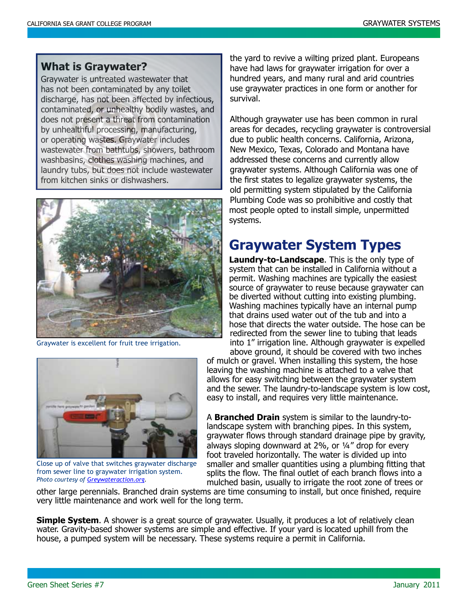#### **What is Graywater?**

Graywater is untreated wastewater that has not been contaminated by any toilet discharge, has not been affected by infectious, contaminated, or unhealthy bodily wastes, and does not present a threat from contamination by unhealthful processing, manufacturing, or operating wastes. Graywater includes wastewater from bathtubs, showers, bathroom washbasins, clothes washing machines, and laundry tubs, but does not include wastewater from kitchen sinks or dishwashers.



Graywater is excellent for fruit tree irrigation.



Close up of valve that switches graywater discharge from sewer line to graywater irrigation system. *Photo courtesy of Greywateraction.org.*

the yard to revive a wilting prized plant. Europeans have had laws for graywater irrigation for over a hundred years, and many rural and arid countries use graywater practices in one form or another for survival.

Although graywater use has been common in rural areas for decades, recycling graywater is controversial due to public health concerns. California, Arizona, New Mexico, Texas, Colorado and Montana have addressed these concerns and currently allow graywater systems. Although California was one of the first states to legalize graywater systems, the old permitting system stipulated by the California Plumbing Code was so prohibitive and costly that most people opted to install simple, unpermitted systems.

### **Graywater System Types**

**Laundry-to-Landscape**. This is the only type of system that can be installed in California without a permit. Washing machines are typically the easiest source of graywater to reuse because graywater can be diverted without cutting into existing plumbing. Washing machines typically have an internal pump that drains used water out of the tub and into a hose that directs the water outside. The hose can be redirected from the sewer line to tubing that leads into 1" irrigation line. Although graywater is expelled above ground, it should be covered with two inches

of mulch or gravel. When installing this system, the hose leaving the washing machine is attached to a valve that allows for easy switching between the graywater system and the sewer. The laundry-to-landscape system is low cost, easy to install, and requires very little maintenance.

A **Branched Drain** system is similar to the laundry-tolandscape system with branching pipes. In this system, graywater flows through standard drainage pipe by gravity, always sloping downward at 2%, or ¼" drop for every foot traveled horizontally. The water is divided up into smaller and smaller quantities using a plumbing fitting that splits the flow. The final outlet of each branch flows into a mulched basin, usually to irrigate the root zone of trees or

other large perennials. Branched drain systems are time consuming to install, but once finished, require very little maintenance and work well for the long term.

**Simple System.** A shower is a great source of graywater. Usually, it produces a lot of relatively clean water. Gravity-based shower systems are simple and effective. If your yard is located uphill from the house, a pumped system will be necessary. These systems require a permit in California.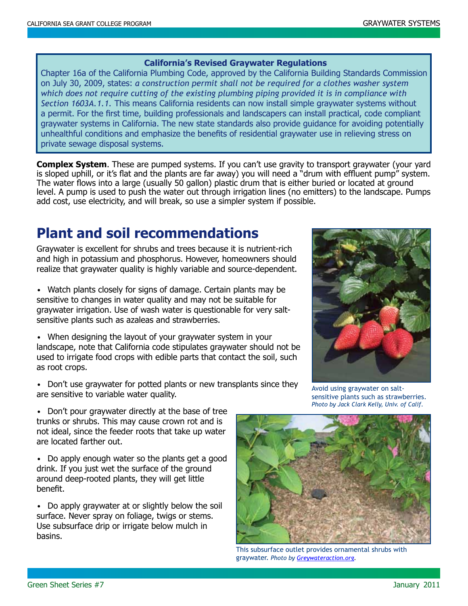#### **California's Revised Graywater Regulations**

Chapter 16a of the California Plumbing Code, approved by the California Building Standards Commission on July 30, 2009, states: *a construction permit shall not be required for a clothes washer system which does not require cutting of the existing plumbing piping provided it is in compliance with Section 1603A.1.1.* This means California residents can now install simple graywater systems without a permit. For the first time, building professionals and landscapers can install practical, code compliant graywater systems in California. The new state standards also provide guidance for avoiding potentially unhealthful conditions and emphasize the benefits of residential graywater use in relieving stress on private sewage disposal systems.

**Complex System**. These are pumped systems. If you can't use gravity to transport graywater (your yard is sloped uphill, or it's flat and the plants are far away) you will need a "drum with effluent pump" system. The water flows into a large (usually 50 gallon) plastic drum that is either buried or located at ground level. A pump is used to push the water out through irrigation lines (no emitters) to the landscape. Pumps add cost, use electricity, and will break, so use a simpler system if possible.

## **Plant and soil recommendations**

Graywater is excellent for shrubs and trees because it is nutrient-rich and high in potassium and phosphorus. However, homeowners should realize that graywater quality is highly variable and source-dependent.

• Watch plants closely for signs of damage. Certain plants may be sensitive to changes in water quality and may not be suitable for graywater irrigation. Use of wash water is questionable for very saltsensitive plants such as azaleas and strawberries.

• When designing the layout of your graywater system in your landscape, note that California code stipulates graywater should not be used to irrigate food crops with edible parts that contact the soil, such as root crops.

• Don't use graywater for potted plants or new transplants since they are sensitive to variable water quality.

• Don't pour graywater directly at the base of tree trunks or shrubs. This may cause crown rot and is not ideal, since the feeder roots that take up water are located farther out.

• Do apply enough water so the plants get a good drink. If you just wet the surface of the ground around deep-rooted plants, they will get little benefit.

• Do apply graywater at or slightly below the soil surface. Never spray on foliage, twigs or stems. Use subsurface drip or irrigate below mulch in basins.



Avoid using graywater on saltsensitive plants such as strawberries. *Photo by Jack Clark Kelly, Univ. of Calif.*



This subsurface outlet provides ornamental shrubs with graywater. *Photo by Greywateraction.org.*